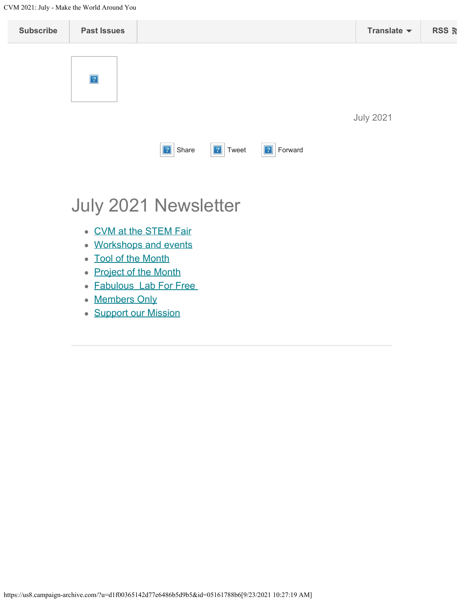<span id="page-0-0"></span>CVM 2021: July - Make the World Around You

| <b>Subscribe</b> | <b>Past Issues</b>   |                |                   |               |  | Translate $\blacktriangledown$ | RSS <b>ត</b> |
|------------------|----------------------|----------------|-------------------|---------------|--|--------------------------------|--------------|
|                  | $\overline{?}$       |                |                   |               |  |                                |              |
|                  |                      |                |                   |               |  | <b>July 2021</b>               |              |
|                  |                      | <b>7</b> Share | $\boxed{?}$ Tweet | 2 <br>Forward |  |                                |              |
|                  | July 2021 Newsletter |                |                   |               |  |                                |              |

- [CVM at the STEM Fair](#page-0-0)
- [Workshops and events](#page-0-0)
- [Tool of the Month](#page-0-0)
- [Project of the Month](#page-0-0)
- [Fabulous Lab For Free](#page-6-0)
- [Members Only](#page-0-0)
- **[Support our Mission](https://www.cfneia.org/giving/give-today?fund=609)**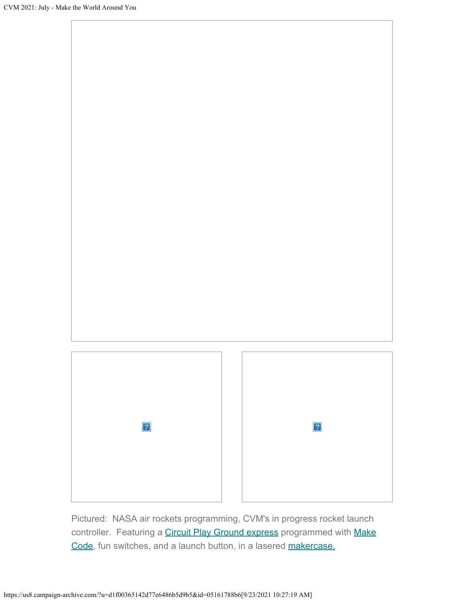

Pictured: NASA air rockets programming, CVM's in progress rocket launch controller. Featuring a [Circuit Play Ground express](https://learn.adafruit.com/adafruit-circuit-playground-express) programmed with [Make](https://learn.adafruit.com/beginner-first-project-power-switch-relay-circuit-playground-smart-plug) [Code,](https://learn.adafruit.com/beginner-first-project-power-switch-relay-circuit-playground-smart-plug) fun switches, and a launch button, in a lasered [makercase.](https://en.makercase.com/#/)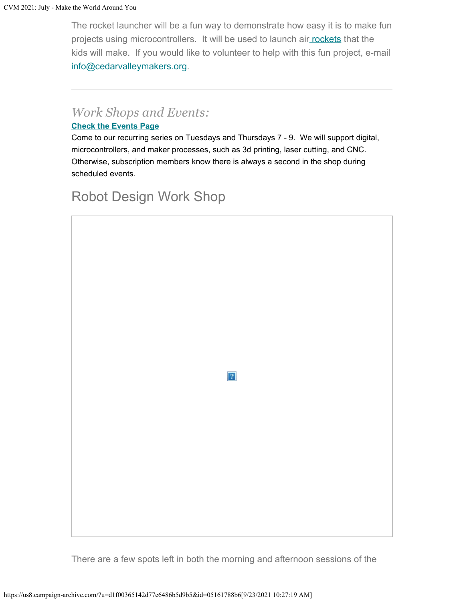The rocket launcher will be a fun way to demonstrate how easy it is to make fun projects using microcontrollers. It will be used to launch ai[r rockets](https://makezine.com/2008/12/13/compressed-air-rocket/) that the kids will make. If you would like to volunteer to help with this fun project, e-mail [info@cedarvalleymakers.org](mailto:info@cedarvalleymakers.org?subject=Volunteer).

### *Work Shops and Events:*

#### **[Check the Events Page](https://www.cedarvalleymakers.org/events)**

Come to our recurring series on Tuesdays and Thursdays 7 - 9. We will support digital, microcontrollers, and maker processes, such as 3d printing, laser cutting, and CNC. Otherwise, subscription members know there is always a second in the shop during scheduled events.

## Robot Design Work Shop



 $\vert 2 \vert$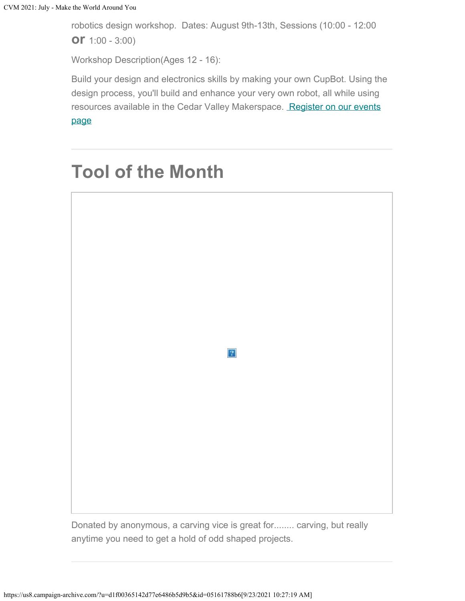robotics design workshop. Dates: August 9th-13th, Sessions (10:00 - 12:00 **or** 1:00 - 3:00)

Workshop Description(Ages 12 - 16):

Build your design and electronics skills by making your own CupBot. Using the design process, you'll build and enhance your very own robot, all while using resources available in the Cedar Valley Makerspace. [Register on our events](https://www.cedarvalleymakers.org/events)

[page](https://www.cedarvalleymakers.org/events)

# **Tool of the Month**



Donated by anonymous, a carving vice is great for........ carving, but really anytime you need to get a hold of odd shaped projects.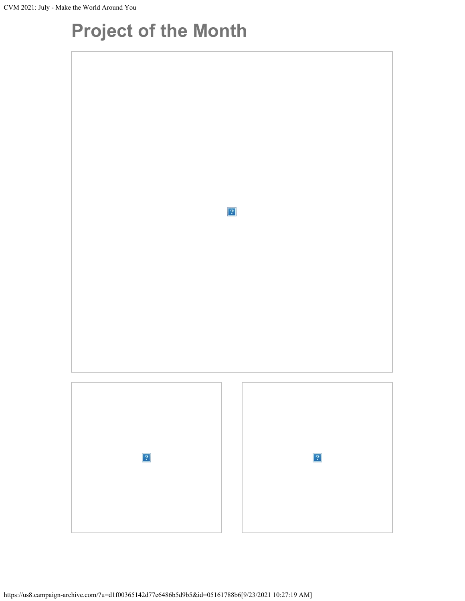# **Project of the Month**

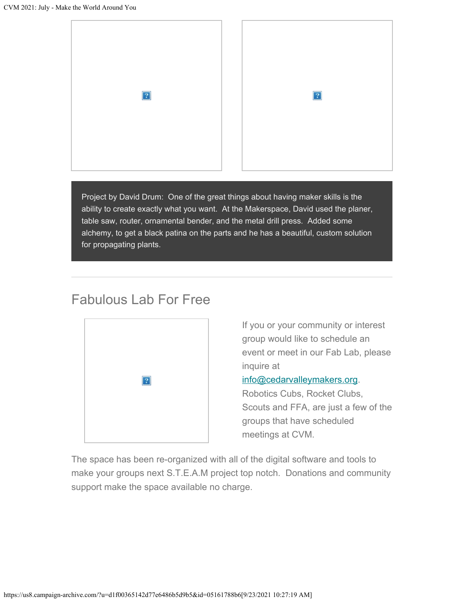

Project by David Drum: One of the great things about having maker skills is the ability to create exactly what you want. At the Makerspace, David used the planer, table saw, router, ornamental bender, and the metal drill press. Added some alchemy, to get a black patina on the parts and he has a beautiful, custom solution for propagating plants.

## Fabulous Lab For Free

<span id="page-6-0"></span>

If you or your community or interest group would like to schedule an event or meet in our Fab Lab, please inquire at

### [info@cedarvalleymakers.org](mailto:info@cedarvalleymakers.org?subject=Can%20my%20group%20meet%20at%20the%20makerspace%3F).

Robotics Cubs, Rocket Clubs, Scouts and FFA, are just a few of the groups that have scheduled meetings at CVM.

The space has been re-organized with all of the digital software and tools to make your groups next S.T.E.A.M project top notch. Donations and community support make the space available no charge.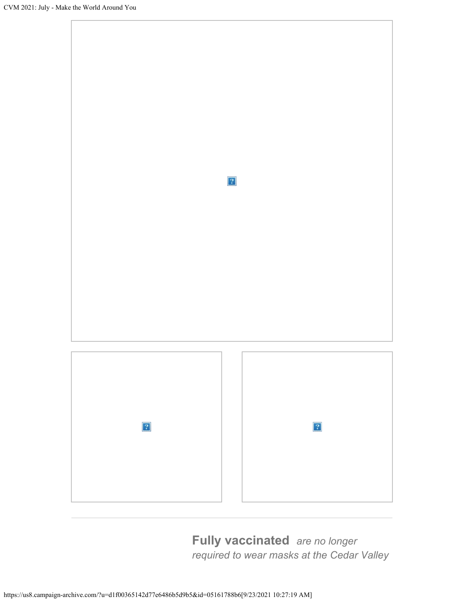

**Fully vaccinated** *are no longer required to wear masks at the Cedar Valley*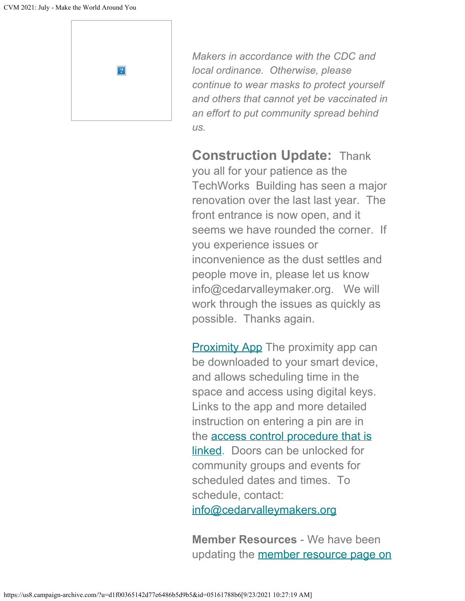

*Makers in accordance with the CDC and local ordinance. Otherwise, please continue to wear masks to protect yourself and others that cannot yet be vaccinated in an effort to put community spread behind us.*

**Construction Update:** Thank you all for your patience as the TechWorks Building has seen a major renovation over the last last year. The front entrance is now open, and it seems we have rounded the corner. If you experience issues or inconvenience as the dust settles and people move in, please let us know info@cedarvalleymaker.org. We will work through the issues as quickly as possible. Thanks again.

**[Proximity App](https://www.proximity.space/apps/) The proximity app can** be downloaded to your smart device, and allows scheduling time in the space and access using digital keys. Links to the app and more detailed instruction on entering a pin are in the access control [procedure that is](https://docs.google.com/document/d/18HC5n-TzWr5ynP8j1MGWK7xHu_oUE61Rvd1nA5EH2KA/edit?usp=sharing) [linked](https://docs.google.com/document/d/18HC5n-TzWr5ynP8j1MGWK7xHu_oUE61Rvd1nA5EH2KA/edit?usp=sharing). Doors can be unlocked for community groups and events for scheduled dates and times. To schedule, contact:

[info@cedarvalleymakers.org](mailto:info@cedarvalleymakers.org?subject=Space%20access%20for%20event%20or%20group)

**Member Resources** - We have been updating the [member resource page on](https://www.cedarvalleymakers.org/resource-center)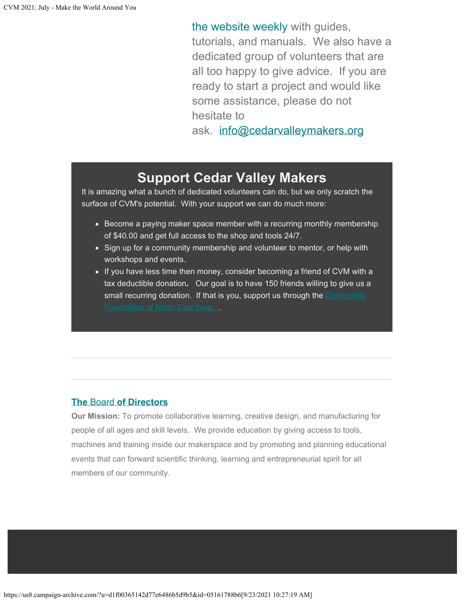[the website weekly](https://www.cedarvalleymakers.org/resource-center) with guides, tutorials, and manuals. We also have a dedicated group of volunteers that are all too happy to give advice. If you are ready to start a project and would like some assistance, please do not hesitate to

ask. [info@cedarvalleymakers.org](mailto:info@cedarvalleymakers.org)

## **Support Cedar Valley Makers**

It is amazing what a bunch of dedicated volunteers can do, but we only scratch the surface of CVM's potential. With your support we can do much more:

- Become a paying maker space member with a recurring monthly membership of \$40.00 and get full access to the shop and tools 24/7.
- Sign up for a community membership and volunteer to mentor, or help with workshops and events.
- If you have less time then money, consider becoming a friend of CVM with a tax deductible donation**.** Our goal is to have 150 friends willing to give us a small recurring donation. If that is you, support us through the [Community](https://www.cfneia.org/giving/give-today?fund=609)

### **[The](https://www.cedarvalleymakers.org/Board-of-Directors/)** [Board](https://www.cedarvalleymakers.org/Board-of-Directors/) **[of Directors](https://www.cedarvalleymakers.org/Board-of-Directors/)**

**Our Mission:** To promote collaborative learning, creative design, and manufacturing for people of all ages and skill levels. We provide education by giving access to tools, machines and training inside our makerspace and by promoting and planning educational events that can forward scientific thinking, learning and entrepreneurial spirit for all members of our community.